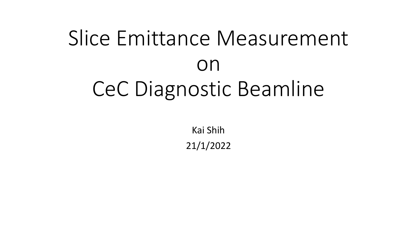# Slice Emittance Measurement on CeC Diagnostic Beamline

Kai Shih 21/1/2022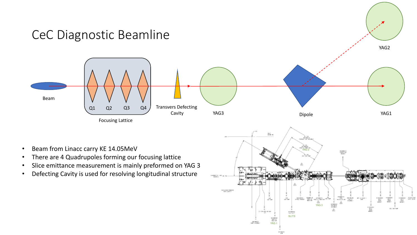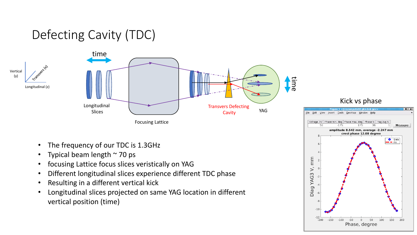# Defecting Cavity (TDC)





#### Kick vs phase



- The frequency of our TDC is 1.3GHz
- Typical beam length  $\sim$  70 ps
- focusing Lattice focus slices veristically on YAG
- Different longitudinal slices experience different TDC phase
- Resulting in a different vertical kick
- Longitudinal slices projected on same YAG location in different vertical position (time)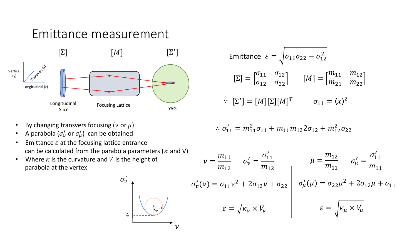#### Emittance measurement [Σ ′  $[\Sigma]$   $[M]$ Translets HT Vertical (y) Longitudinal (z) Longitudinal Focusing Lattice Slice **Superintent Contract Contract Contract Contract Contract Contract Contract Contract Contract Contract Co**

Emittance 
$$
\varepsilon = \sqrt{\sigma_{11} \sigma_{22} - \sigma_{12}^2}
$$
  
\n
$$
[\Sigma] = \begin{bmatrix} \sigma_{11} & \sigma_{12} \\ \sigma_{12} & \sigma_{22} \end{bmatrix} \qquad [M] = \begin{bmatrix} m_{11} & m_{12} \\ m_{21} & m_{22} \end{bmatrix}
$$
\n
$$
\because [\Sigma'] = [M][\Sigma][M]^T \qquad \sigma_{11} = \langle x \rangle^2
$$

• By changing transvers focusing (
$$
\nu
$$
 or  $\mu$ )

- A parabola ( $\sigma'_v$  or  $\sigma'_\mu$ ) can be obtained
- Emittance  $\varepsilon$  at the focusing lattice entrance can be calculated from the parabola parameters ( $\kappa$  and V)
- Where  $\kappa$  is the curvature and  $V$  is the height of parabola at the vertex

$$
\begin{matrix}\n\sigma'_v \\
\hline\n\vdots \\
\hline\n\vdots \\
\hline\n\vdots \\
\hline\n\vdots \\
\hline\n\vdots \\
\hline\n\vdots \\
\hline\n\vdots \\
\hline\n\vdots \\
\hline\n\vdots \\
\hline\n\vdots \\
\hline\n\vdots \\
\hline\n\vdots \\
\hline\n\end{matrix}
$$

$$
\therefore \sigma'_{11} = m_{11}^2 \sigma_{11} + m_{11} m_{12} 2 \sigma_{12} + m_{12}^2 \sigma_{22}
$$

$$
\nu = \frac{m_{11}}{m_{12}} \qquad \sigma_{\nu}^{\prime} = \frac{\sigma_{11}^{\prime}}{m_{12}} \qquad \mu = \frac{m_{12}}{m_{11}} \qquad \sigma_{\mu}^{\prime} = \frac{\sigma_{11}^{\prime}}{m_{11}}
$$

$$
\sigma_{\nu}^{\prime}(\nu) = \sigma_{11} \nu^{2} + 2\sigma_{12} \nu + \sigma_{22} \qquad \sigma_{\mu}^{\prime}(\mu) = \sigma_{22} \mu^{2} + 2\sigma_{12} \mu + \sigma_{11}
$$

$$
\varepsilon = \sqrt{\kappa_{\nu} \times V_{\nu}}
$$

$$
\varepsilon = \sqrt{\kappa_{\mu} \times V_{\mu}}
$$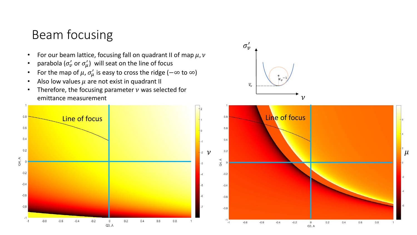# Beam focusing

- For our beam lattice, focusing fall on quadrant II of map  $\mu$ ,  $\nu$
- parabola ( $\sigma'_v$  or  $\sigma'_\mu$ ) will seat on the line of focus
- For the map of  $\mu$ ,  $\sigma'_{\mu}$  is easy to cross the ridge ( $-\infty$  to  $\infty$ )
- Also low values  $\mu$  are not exist in quadrant II
- Therefore, the focusing parameter  $\nu$  was selected for emittance measurement



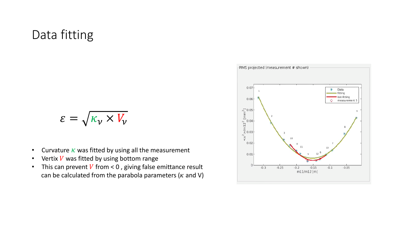## Data fitting

$$
\varepsilon = \sqrt{\kappa_{\nu} \times V_{\nu}}
$$

- Curvature  $\kappa$  was fitted by using all the measurement
- Vertix  $V$  was fitted by using bottom range
- This can prevent  $V$  from < 0, giving false emittance result can be calculated from the parabola parameters ( $\kappa$  and V)

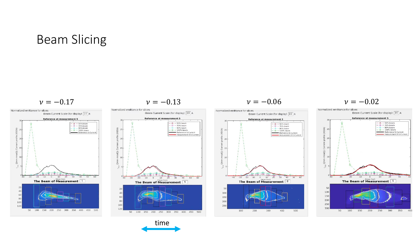### Beam Slicing



$$
\nu = -0.17 \qquad \qquad \nu = -0.13 \qquad \qquad \nu = -0.06 \qquad \qquad \nu = -0.02
$$



$$
\nu=-0.13
$$



time

$$
\nu=-0.17
$$